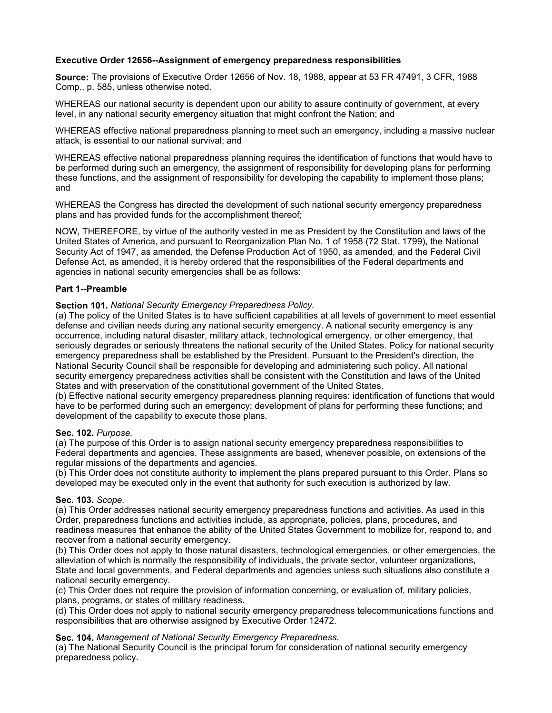### **Executive Order 12656--Assignment of emergency preparedness responsibilities**

**Source:** The provisions of Executive Order 12656 of Nov. 18, 1988, appear at 53 FR 47491, 3 CFR, 1988 Comp., p. 585, unless otherwise noted.

WHEREAS our national security is dependent upon our ability to assure continuity of government, at every level, in any national security emergency situation that might confront the Nation; and

WHEREAS effective national preparedness planning to meet such an emergency, including a massive nuclear attack, is essential to our national survival; and

WHEREAS effective national preparedness planning requires the identification of functions that would have to be performed during such an emergency, the assignment of responsibility for developing plans for performing these functions, and the assignment of responsibility for developing the capability to implement those plans; and

WHEREAS the Congress has directed the development of such national security emergency preparedness plans and has provided funds for the accomplishment thereof;

NOW, THEREFORE, by virtue of the authority vested in me as President by the Constitution and laws of the United States of America, and pursuant to Reorganization Plan No. 1 of 1958 (72 Stat. 1799), the National Security Act of 1947, as amended, the Defense Production Act of 1950, as amended, and the Federal Civil Defense Act, as amended, it is hereby ordered that the responsibilities of the Federal departments and agencies in national security emergencies shall be as follows:

#### **Part 1--Preamble**

#### **Section 101.** *National Security Emergency Preparedness Policy.*

(a) The policy of the United States is to have sufficient capabilities at all levels of government to meet essential defense and civilian needs during any national security emergency. A national security emergency is any occurrence, including natural disaster, military attack, technological emergency, or other emergency, that seriously degrades or seriously threatens the national security of the United States. Policy for national security emergency preparedness shall be established by the President. Pursuant to the President's direction, the National Security Council shall be responsible for developing and administering such policy. All national security emergency preparedness activities shall be consistent with the Constitution and laws of the United States and with preservation of the constitutional government of the United States.

(b) Effective national security emergency preparedness planning requires: identification of functions that would have to be performed during such an emergency; development of plans for performing these functions; and development of the capability to execute those plans.

#### **Sec. 102.** *Purpose.*

(a) The purpose of this Order is to assign national security emergency preparedness responsibilities to Federal departments and agencies. These assignments are based, whenever possible, on extensions of the regular missions of the departments and agencies.

(b) This Order does not constitute authority to implement the plans prepared pursuant to this Order. Plans so developed may be executed only in the event that authority for such execution is authorized by law.

#### **Sec. 103.** *Scope.*

(a) This Order addresses national security emergency preparedness functions and activities. As used in this Order, preparedness functions and activities include, as appropriate, policies, plans, procedures, and readiness measures that enhance the ability of the United States Government to mobilize for, respond to, and recover from a national security emergency.

(b) This Order does not apply to those natural disasters, technological emergencies, or other emergencies, the alleviation of which is normally the responsibility of individuals, the private sector, volunteer organizations, State and local governments, and Federal departments and agencies unless such situations also constitute a national security emergency.

(c) This Order does not require the provision of information concerning, or evaluation of, military policies, plans, programs, or states of military readiness.

(d) This Order does not apply to national security emergency preparedness telecommunications functions and responsibilities that are otherwise assigned by Executive Order 12472.

**Sec. 104.** *Management of National Security Emergency Preparedness.*

(a) The National Security Council is the principal forum for consideration of national security emergency preparedness policy.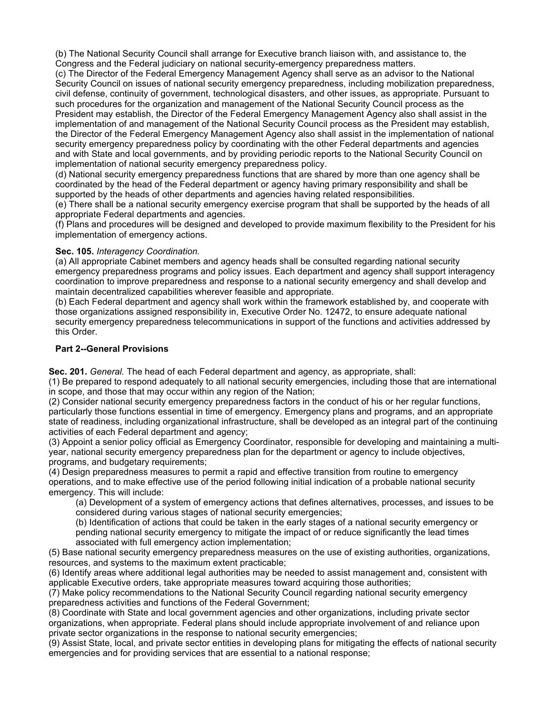(b) The National Security Council shall arrange for Executive branch liaison with, and assistance to, the Congress and the Federal judiciary on national security-emergency preparedness matters.

(c) The Director of the Federal Emergency Management Agency shall serve as an advisor to the National Security Council on issues of national security emergency preparedness, including mobilization preparedness, civil defense, continuity of government, technological disasters, and other issues, as appropriate. Pursuant to such procedures for the organization and management of the National Security Council process as the President may establish, the Director of the Federal Emergency Management Agency also shall assist in the implementation of and management of the National Security Council process as the President may establish, the Director of the Federal Emergency Management Agency also shall assist in the implementation of national security emergency preparedness policy by coordinating with the other Federal departments and agencies and with State and local governments, and by providing periodic reports to the National Security Council on implementation of national security emergency preparedness policy.

(d) National security emergency preparedness functions that are shared by more than one agency shall be coordinated by the head of the Federal department or agency having primary responsibility and shall be supported by the heads of other departments and agencies having related responsibilities.

(e) There shall be a national security emergency exercise program that shall be supported by the heads of all appropriate Federal departments and agencies.

(f) Plans and procedures will be designed and developed to provide maximum flexibility to the President for his implementation of emergency actions.

### **Sec. 105.** *Interagency Coordination.*

(a) All appropriate Cabinet members and agency heads shall be consulted regarding national security emergency preparedness programs and policy issues. Each department and agency shall support interagency coordination to improve preparedness and response to a national security emergency and shall develop and maintain decentralized capabilities wherever feasible and appropriate.

(b) Each Federal department and agency shall work within the framework established by, and cooperate with those organizations assigned responsibility in, Executive Order No. 12472, to ensure adequate national security emergency preparedness telecommunications in support of the functions and activities addressed by this Order.

### **Part 2--General Provisions**

**Sec. 201.** *General.* The head of each Federal department and agency, as appropriate, shall:

(1) Be prepared to respond adequately to all national security emergencies, including those that are international in scope, and those that may occur within any region of the Nation;

(2) Consider national security emergency preparedness factors in the conduct of his or her regular functions, particularly those functions essential in time of emergency. Emergency plans and programs, and an appropriate state of readiness, including organizational infrastructure, shall be developed as an integral part of the continuing activities of each Federal department and agency;

(3) Appoint a senior policy official as Emergency Coordinator, responsible for developing and maintaining a multiyear, national security emergency preparedness plan for the department or agency to include objectives, programs, and budgetary requirements;

(4) Design preparedness measures to permit a rapid and effective transition from routine to emergency operations, and to make effective use of the period following initial indication of a probable national security emergency. This will include:

(a) Development of a system of emergency actions that defines alternatives, processes, and issues to be considered during various stages of national security emergencies;

(b) Identification of actions that could be taken in the early stages of a national security emergency or pending national security emergency to mitigate the impact of or reduce significantly the lead times associated with full emergency action implementation;

(5) Base national security emergency preparedness measures on the use of existing authorities, organizations, resources, and systems to the maximum extent practicable;

(6) Identify areas where additional legal authorities may be needed to assist management and, consistent with applicable Executive orders, take appropriate measures toward acquiring those authorities;

(7) Make policy recommendations to the National Security Council regarding national security emergency preparedness activities and functions of the Federal Government;

(8) Coordinate with State and local government agencies and other organizations, including private sector organizations, when appropriate. Federal plans should include appropriate involvement of and reliance upon private sector organizations in the response to national security emergencies;

(9) Assist State, local, and private sector entities in developing plans for mitigating the effects of national security emergencies and for providing services that are essential to a national response;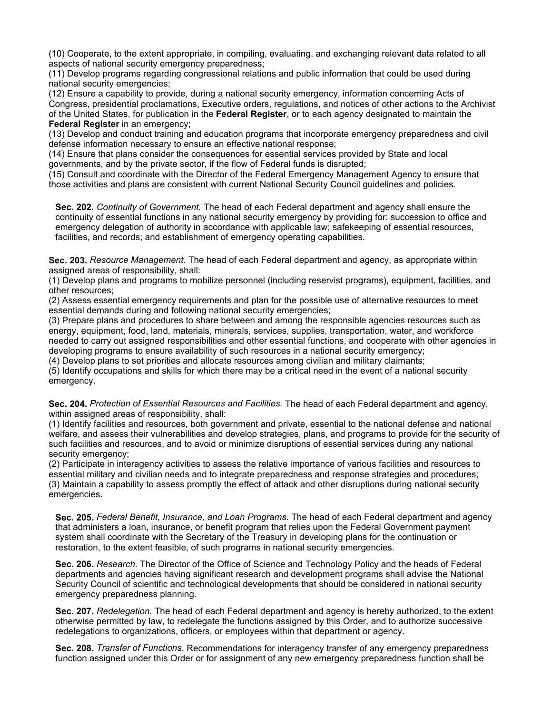(10) Cooperate, to the extent appropriate, in compiling, evaluating, and exchanging relevant data related to all aspects of national security emergency preparedness;

(11) Develop programs regarding congressional relations and public information that could be used during national security emergencies;

(12) Ensure a capability to provide, during a national security emergency, information concerning Acts of Congress, presidential proclamations, Executive orders, regulations, and notices of other actions to the Archivist of the United States, for publication in the **Federal Register**, or to each agency designated to maintain the **Federal Register** in an emergency;

(13) Develop and conduct training and education programs that incorporate emergency preparedness and civil defense information necessary to ensure an effective national response;

(14) Ensure that plans consider the consequences for essential services provided by State and local governments, and by the private sector, if the flow of Federal funds is disrupted;

(15) Consult and coordinate with the Director of the Federal Emergency Management Agency to ensure that those activities and plans are consistent with current National Security Council guidelines and policies.

**Sec. 202.** *Continuity of Government.* The head of each Federal department and agency shall ensure the continuity of essential functions in any national security emergency by providing for: succession to office and emergency delegation of authority in accordance with applicable law; safekeeping of essential resources, facilities, and records; and establishment of emergency operating capabilities.

**Sec. 203.** *Resource Management.* The head of each Federal department and agency, as appropriate within assigned areas of responsibility, shall:

(1) Develop plans and programs to mobilize personnel (including reservist programs), equipment, facilities, and other resources;

(2) Assess essential emergency requirements and plan for the possible use of alternative resources to meet essential demands during and following national security emergencies;

(3) Prepare plans and procedures to share between and among the responsible agencies resources such as energy, equipment, food, land, materials, minerals, services, supplies, transportation, water, and workforce needed to carry out assigned responsibilities and other essential functions, and cooperate with other agencies in developing programs to ensure availability of such resources in a national security emergency;

(4) Develop plans to set priorities and allocate resources among civilian and military claimants;

(5) Identify occupations and skills for which there may be a critical need in the event of a national security emergency.

**Sec. 204.** *Protection of Essential Resources and Facilities.* The head of each Federal department and agency, within assigned areas of responsibility, shall:

(1) Identify facilities and resources, both government and private, essential to the national defense and national welfare, and assess their vulnerabilities and develop strategies, plans, and programs to provide for the security of such facilities and resources, and to avoid or minimize disruptions of essential services during any national security emergency;

(2) Participate in interagency activities to assess the relative importance of various facilities and resources to essential military and civilian needs and to integrate preparedness and response strategies and procedures; (3) Maintain a capability to assess promptly the effect of attack and other disruptions during national security emergencies.

**Sec. 205.** *Federal Benefit, Insurance, and Loan Programs.* The head of each Federal department and agency that administers a loan, insurance, or benefit program that relies upon the Federal Government payment system shall coordinate with the Secretary of the Treasury in developing plans for the continuation or restoration, to the extent feasible, of such programs in national security emergencies.

**Sec. 206.** *Research.* The Director of the Office of Science and Technology Policy and the heads of Federal departments and agencies having significant research and development programs shall advise the National Security Council of scientific and technological developments that should be considered in national security emergency preparedness planning.

**Sec. 207.** *Redelegation.* The head of each Federal department and agency is hereby authorized, to the extent otherwise permitted by law, to redelegate the functions assigned by this Order, and to authorize successive redelegations to organizations, officers, or employees within that department or agency.

**Sec. 208.** *Transfer of Functions.* Recommendations for interagency transfer of any emergency preparedness function assigned under this Order or for assignment of any new emergency preparedness function shall be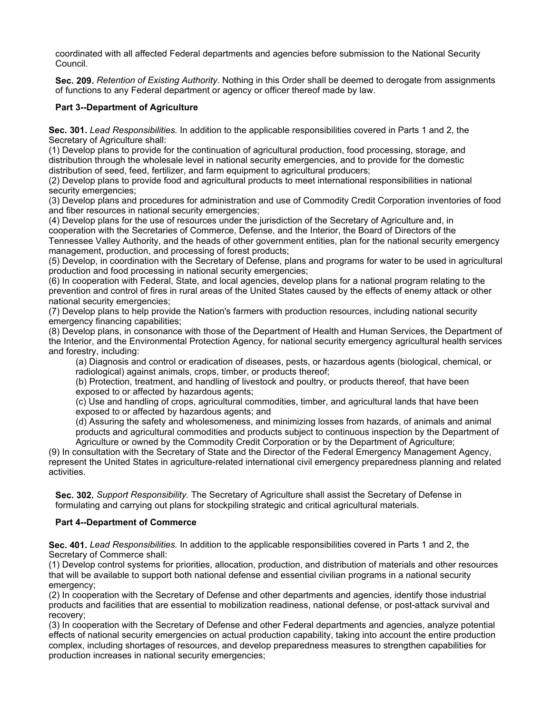coordinated with all affected Federal departments and agencies before submission to the National Security Council.

**Sec. 209.** *Retention of Existing Authority.* Nothing in this Order shall be deemed to derogate from assignments of functions to any Federal department or agency or officer thereof made by law.

### **Part 3--Department of Agriculture**

**Sec. 301.** *Lead Responsibilities.* In addition to the applicable responsibilities covered in Parts 1 and 2, the Secretary of Agriculture shall:

(1) Develop plans to provide for the continuation of agricultural production, food processing, storage, and distribution through the wholesale level in national security emergencies, and to provide for the domestic distribution of seed, feed, fertilizer, and farm equipment to agricultural producers;

(2) Develop plans to provide food and agricultural products to meet international responsibilities in national security emergencies;

(3) Develop plans and procedures for administration and use of Commodity Credit Corporation inventories of food and fiber resources in national security emergencies;

(4) Develop plans for the use of resources under the jurisdiction of the Secretary of Agriculture and, in cooperation with the Secretaries of Commerce, Defense, and the Interior, the Board of Directors of the Tennessee Valley Authority, and the heads of other government entities, plan for the national security emergency management, production, and processing of forest products;

(5) Develop, in coordination with the Secretary of Defense, plans and programs for water to be used in agricultural production and food processing in national security emergencies;

(6) In cooperation with Federal, State, and local agencies, develop plans for a national program relating to the prevention and control of fires in rural areas of the United States caused by the effects of enemy attack or other national security emergencies;

(7) Develop plans to help provide the Nation's farmers with production resources, including national security emergency financing capabilities;

(8) Develop plans, in consonance with those of the Department of Health and Human Services, the Department of the Interior, and the Environmental Protection Agency, for national security emergency agricultural health services and forestry, including:

(a) Diagnosis and control or eradication of diseases, pests, or hazardous agents (biological, chemical, or radiological) against animals, crops, timber, or products thereof;

(b) Protection, treatment, and handling of livestock and poultry, or products thereof, that have been exposed to or affected by hazardous agents;

(c) Use and handling of crops, agricultural commodities, timber, and agricultural lands that have been exposed to or affected by hazardous agents; and

(d) Assuring the safety and wholesomeness, and minimizing losses from hazards, of animals and animal products and agricultural commodities and products subject to continuous inspection by the Department of Agriculture or owned by the Commodity Credit Corporation or by the Department of Agriculture;

(9) In consultation with the Secretary of State and the Director of the Federal Emergency Management Agency, represent the United States in agriculture-related international civil emergency preparedness planning and related activities.

**Sec. 302.** *Support Responsibility.* The Secretary of Agriculture shall assist the Secretary of Defense in formulating and carrying out plans for stockpiling strategic and critical agricultural materials.

#### **Part 4--Department of Commerce**

**Sec. 401.** *Lead Responsibilities.* In addition to the applicable responsibilities covered in Parts 1 and 2, the Secretary of Commerce shall:

(1) Develop control systems for priorities, allocation, production, and distribution of materials and other resources that will be available to support both national defense and essential civilian programs in a national security emergency;

(2) In cooperation with the Secretary of Defense and other departments and agencies, identify those industrial products and facilities that are essential to mobilization readiness, national defense, or post-attack survival and recovery;

(3) In cooperation with the Secretary of Defense and other Federal departments and agencies, analyze potential effects of national security emergencies on actual production capability, taking into account the entire production complex, including shortages of resources, and develop preparedness measures to strengthen capabilities for production increases in national security emergencies;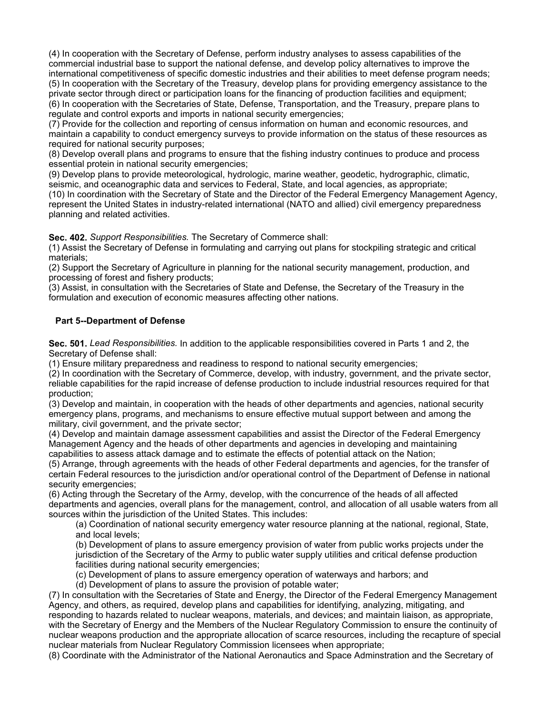(4) In cooperation with the Secretary of Defense, perform industry analyses to assess capabilities of the commercial industrial base to support the national defense, and develop policy alternatives to improve the international competitiveness of specific domestic industries and their abilities to meet defense program needs; (5) In cooperation with the Secretary of the Treasury, develop plans for providing emergency assistance to the private sector through direct or participation loans for the financing of production facilities and equipment; (6) In cooperation with the Secretaries of State, Defense, Transportation, and the Treasury, prepare plans to regulate and control exports and imports in national security emergencies;

(7) Provide for the collection and reporting of census information on human and economic resources, and maintain a capability to conduct emergency surveys to provide information on the status of these resources as required for national security purposes;

(8) Develop overall plans and programs to ensure that the fishing industry continues to produce and process essential protein in national security emergencies;

(9) Develop plans to provide meteorological, hydrologic, marine weather, geodetic, hydrographic, climatic, seismic, and oceanographic data and services to Federal, State, and local agencies, as appropriate; (10) In coordination with the Secretary of State and the Director of the Federal Emergency Management Agency, represent the United States in industry-related international (NATO and allied) civil emergency preparedness planning and related activities.

**Sec. 402.** *Support Responsibilities.* The Secretary of Commerce shall:

(1) Assist the Secretary of Defense in formulating and carrying out plans for stockpiling strategic and critical materials;

(2) Support the Secretary of Agriculture in planning for the national security management, production, and processing of forest and fishery products;

(3) Assist, in consultation with the Secretaries of State and Defense, the Secretary of the Treasury in the formulation and execution of economic measures affecting other nations.

### **Part 5--Department of Defense**

**Sec. 501.** *Lead Responsibilities.* In addition to the applicable responsibilities covered in Parts 1 and 2, the Secretary of Defense shall:

(1) Ensure military preparedness and readiness to respond to national security emergencies;

(2) In coordination with the Secretary of Commerce, develop, with industry, government, and the private sector, reliable capabilities for the rapid increase of defense production to include industrial resources required for that production;

(3) Develop and maintain, in cooperation with the heads of other departments and agencies, national security emergency plans, programs, and mechanisms to ensure effective mutual support between and among the military, civil government, and the private sector;

(4) Develop and maintain damage assessment capabilities and assist the Director of the Federal Emergency Management Agency and the heads of other departments and agencies in developing and maintaining capabilities to assess attack damage and to estimate the effects of potential attack on the Nation;

(5) Arrange, through agreements with the heads of other Federal departments and agencies, for the transfer of certain Federal resources to the jurisdiction and/or operational control of the Department of Defense in national security emergencies:

(6) Acting through the Secretary of the Army, develop, with the concurrence of the heads of all affected departments and agencies, overall plans for the management, control, and allocation of all usable waters from all sources within the jurisdiction of the United States. This includes:

(a) Coordination of national security emergency water resource planning at the national, regional, State, and local levels;

(b) Development of plans to assure emergency provision of water from public works projects under the jurisdiction of the Secretary of the Army to public water supply utilities and critical defense production facilities during national security emergencies;

(c) Development of plans to assure emergency operation of waterways and harbors; and

(d) Development of plans to assure the provision of potable water;

(7) In consultation with the Secretaries of State and Energy, the Director of the Federal Emergency Management Agency, and others, as required, develop plans and capabilities for identifying, analyzing, mitigating, and responding to hazards related to nuclear weapons, materials, and devices; and maintain liaison, as appropriate, with the Secretary of Energy and the Members of the Nuclear Regulatory Commission to ensure the continuity of nuclear weapons production and the appropriate allocation of scarce resources, including the recapture of special nuclear materials from Nuclear Regulatory Commission licensees when appropriate;

(8) Coordinate with the Administrator of the National Aeronautics and Space Adminstration and the Secretary of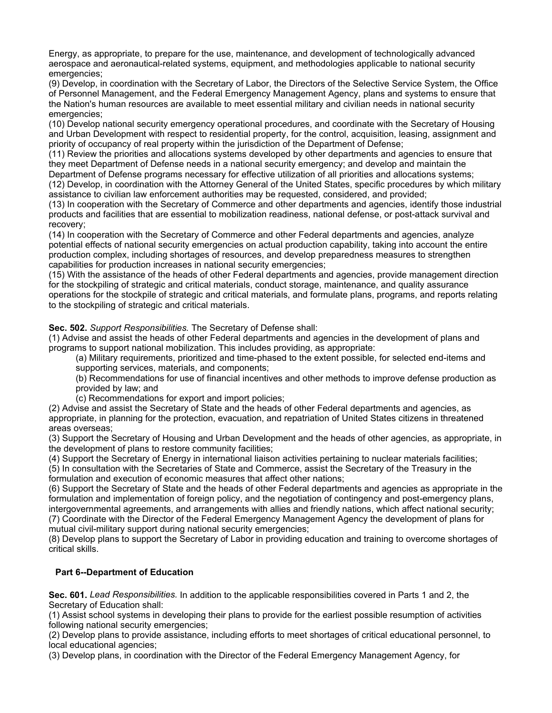Energy, as appropriate, to prepare for the use, maintenance, and development of technologically advanced aerospace and aeronautical-related systems, equipment, and methodologies applicable to national security emergencies;

(9) Develop, in coordination with the Secretary of Labor, the Directors of the Selective Service System, the Office of Personnel Management, and the Federal Emergency Management Agency, plans and systems to ensure that the Nation's human resources are available to meet essential military and civilian needs in national security emergencies;

(10) Develop national security emergency operational procedures, and coordinate with the Secretary of Housing and Urban Development with respect to residential property, for the control, acquisition, leasing, assignment and priority of occupancy of real property within the jurisdiction of the Department of Defense;

(11) Review the priorities and allocations systems developed by other departments and agencies to ensure that they meet Department of Defense needs in a national security emergency; and develop and maintain the Department of Defense programs necessary for effective utilization of all priorities and allocations systems;

(12) Develop, in coordination with the Attorney General of the United States, specific procedures by which military assistance to civilian law enforcement authorities may be requested, considered, and provided;

(13) In cooperation with the Secretary of Commerce and other departments and agencies, identify those industrial products and facilities that are essential to mobilization readiness, national defense, or post-attack survival and recovery;

(14) In cooperation with the Secretary of Commerce and other Federal departments and agencies, analyze potential effects of national security emergencies on actual production capability, taking into account the entire production complex, including shortages of resources, and develop preparedness measures to strengthen capabilities for production increases in national security emergencies;

(15) With the assistance of the heads of other Federal departments and agencies, provide management direction for the stockpiling of strategic and critical materials, conduct storage, maintenance, and quality assurance operations for the stockpile of strategic and critical materials, and formulate plans, programs, and reports relating to the stockpiling of strategic and critical materials.

### **Sec. 502.** *Support Responsibilities.* The Secretary of Defense shall:

(1) Advise and assist the heads of other Federal departments and agencies in the development of plans and programs to support national mobilization. This includes providing, as appropriate:

(a) Military requirements, prioritized and time-phased to the extent possible, for selected end-items and supporting services, materials, and components;

(b) Recommendations for use of financial incentives and other methods to improve defense production as provided by law; and

(c) Recommendations for export and import policies;

(2) Advise and assist the Secretary of State and the heads of other Federal departments and agencies, as appropriate, in planning for the protection, evacuation, and repatriation of United States citizens in threatened areas overseas;

(3) Support the Secretary of Housing and Urban Development and the heads of other agencies, as appropriate, in the development of plans to restore community facilities;

(4) Support the Secretary of Energy in international liaison activities pertaining to nuclear materials facilities;

(5) In consultation with the Secretaries of State and Commerce, assist the Secretary of the Treasury in the formulation and execution of economic measures that affect other nations;

(6) Support the Secretary of State and the heads of other Federal departments and agencies as appropriate in the formulation and implementation of foreign policy, and the negotiation of contingency and post-emergency plans, intergovernmental agreements, and arrangements with allies and friendly nations, which affect national security; (7) Coordinate with the Director of the Federal Emergency Management Agency the development of plans for

mutual civil-military support during national security emergencies;

(8) Develop plans to support the Secretary of Labor in providing education and training to overcome shortages of critical skills.

## **Part 6--Department of Education**

**Sec. 601.** *Lead Responsibilities.* In addition to the applicable responsibilities covered in Parts 1 and 2, the Secretary of Education shall:

(1) Assist school systems in developing their plans to provide for the earliest possible resumption of activities following national security emergencies;

(2) Develop plans to provide assistance, including efforts to meet shortages of critical educational personnel, to local educational agencies;

(3) Develop plans, in coordination with the Director of the Federal Emergency Management Agency, for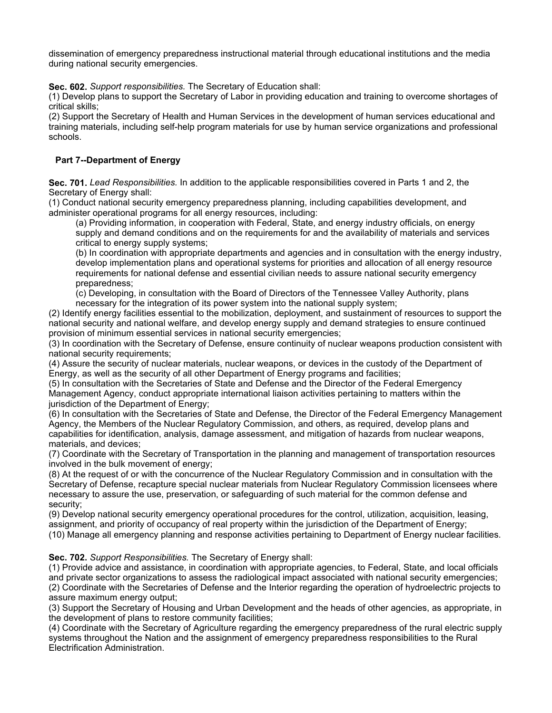dissemination of emergency preparedness instructional material through educational institutions and the media during national security emergencies.

**Sec. 602.** *Support responsibilities.* The Secretary of Education shall:

(1) Develop plans to support the Secretary of Labor in providing education and training to overcome shortages of critical skills;

(2) Support the Secretary of Health and Human Services in the development of human services educational and training materials, including self-help program materials for use by human service organizations and professional schools.

# **Part 7--Department of Energy**

**Sec. 701.** *Lead Responsibilities.* In addition to the applicable responsibilities covered in Parts 1 and 2, the Secretary of Energy shall:

(1) Conduct national security emergency preparedness planning, including capabilities development, and administer operational programs for all energy resources, including:

(a) Providing information, in cooperation with Federal, State, and energy industry officials, on energy supply and demand conditions and on the requirements for and the availability of materials and services critical to energy supply systems;

(b) In coordination with appropriate departments and agencies and in consultation with the energy industry, develop implementation plans and operational systems for priorities and allocation of all energy resource requirements for national defense and essential civilian needs to assure national security emergency preparedness;

(c) Developing, in consultation with the Board of Directors of the Tennessee Valley Authority, plans necessary for the integration of its power system into the national supply system;

(2) Identify energy facilities essential to the mobilization, deployment, and sustainment of resources to support the national security and national welfare, and develop energy supply and demand strategies to ensure continued provision of minimum essential services in national security emergencies;

(3) In coordination with the Secretary of Defense, ensure continuity of nuclear weapons production consistent with national security requirements;

(4) Assure the security of nuclear materials, nuclear weapons, or devices in the custody of the Department of Energy, as well as the security of all other Department of Energy programs and facilities;

(5) In consultation with the Secretaries of State and Defense and the Director of the Federal Emergency Management Agency, conduct appropriate international liaison activities pertaining to matters within the jurisdiction of the Department of Energy;

(6) In consultation with the Secretaries of State and Defense, the Director of the Federal Emergency Management Agency, the Members of the Nuclear Regulatory Commission, and others, as required, develop plans and capabilities for identification, analysis, damage assessment, and mitigation of hazards from nuclear weapons, materials, and devices;

(7) Coordinate with the Secretary of Transportation in the planning and management of transportation resources involved in the bulk movement of energy;

(8) At the request of or with the concurrence of the Nuclear Regulatory Commission and in consultation with the Secretary of Defense, recapture special nuclear materials from Nuclear Regulatory Commission licensees where necessary to assure the use, preservation, or safeguarding of such material for the common defense and security;

(9) Develop national security emergency operational procedures for the control, utilization, acquisition, leasing, assignment, and priority of occupancy of real property within the jurisdiction of the Department of Energy; (10) Manage all emergency planning and response activities pertaining to Department of Energy nuclear facilities.

**Sec. 702.** *Support Responsibilities.* The Secretary of Energy shall:

(1) Provide advice and assistance, in coordination with appropriate agencies, to Federal, State, and local officials and private sector organizations to assess the radiological impact associated with national security emergencies; (2) Coordinate with the Secretaries of Defense and the Interior regarding the operation of hydroelectric projects to assure maximum energy output;

(3) Support the Secretary of Housing and Urban Development and the heads of other agencies, as appropriate, in the development of plans to restore community facilities;

(4) Coordinate with the Secretary of Agriculture regarding the emergency preparedness of the rural electric supply systems throughout the Nation and the assignment of emergency preparedness responsibilities to the Rural Electrification Administration.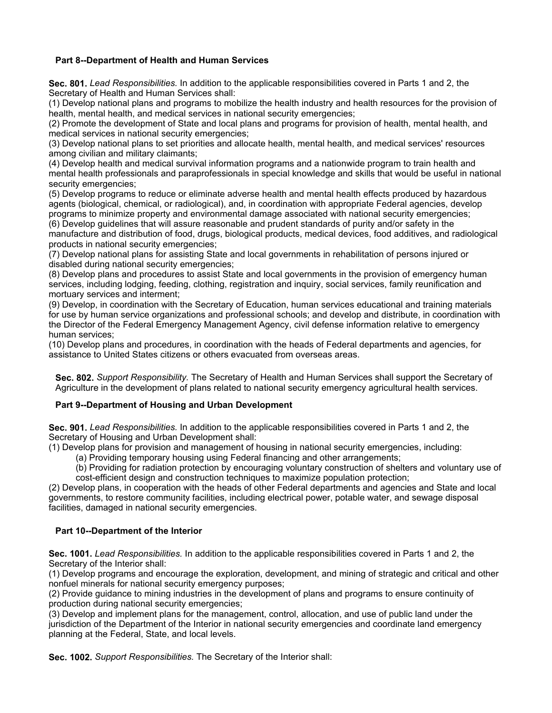### **Part 8--Department of Health and Human Services**

**Sec. 801.** *Lead Responsibilities.* In addition to the applicable responsibilities covered in Parts 1 and 2, the Secretary of Health and Human Services shall:

(1) Develop national plans and programs to mobilize the health industry and health resources for the provision of health, mental health, and medical services in national security emergencies;

(2) Promote the development of State and local plans and programs for provision of health, mental health, and medical services in national security emergencies;

(3) Develop national plans to set priorities and allocate health, mental health, and medical services' resources among civilian and military claimants;

(4) Develop health and medical survival information programs and a nationwide program to train health and mental health professionals and paraprofessionals in special knowledge and skills that would be useful in national security emergencies;

(5) Develop programs to reduce or eliminate adverse health and mental health effects produced by hazardous agents (biological, chemical, or radiological), and, in coordination with appropriate Federal agencies, develop programs to minimize property and environmental damage associated with national security emergencies;

(6) Develop guidelines that will assure reasonable and prudent standards of purity and/or safety in the manufacture and distribution of food, drugs, biological products, medical devices, food additives, and radiological products in national security emergencies;

(7) Develop national plans for assisting State and local governments in rehabilitation of persons injured or disabled during national security emergencies;

(8) Develop plans and procedures to assist State and local governments in the provision of emergency human services, including lodging, feeding, clothing, registration and inquiry, social services, family reunification and mortuary services and interment;

(9) Develop, in coordination with the Secretary of Education, human services educational and training materials for use by human service organizations and professional schools; and develop and distribute, in coordination with the Director of the Federal Emergency Management Agency, civil defense information relative to emergency human services;

(10) Develop plans and procedures, in coordination with the heads of Federal departments and agencies, for assistance to United States citizens or others evacuated from overseas areas.

**Sec. 802.** *Support Responsibility.* The Secretary of Health and Human Services shall support the Secretary of Agriculture in the development of plans related to national security emergency agricultural health services.

## **Part 9--Department of Housing and Urban Development**

**Sec. 901.** *Lead Responsibilities.* In addition to the applicable responsibilities covered in Parts 1 and 2, the Secretary of Housing and Urban Development shall:

(1) Develop plans for provision and management of housing in national security emergencies, including:

(a) Providing temporary housing using Federal financing and other arrangements;

(b) Providing for radiation protection by encouraging voluntary construction of shelters and voluntary use of cost-efficient design and construction techniques to maximize population protection;

(2) Develop plans, in cooperation with the heads of other Federal departments and agencies and State and local governments, to restore community facilities, including electrical power, potable water, and sewage disposal facilities, damaged in national security emergencies.

#### **Part 10--Department of the Interior**

**Sec. 1001.** *Lead Responsibilities.* In addition to the applicable responsibilities covered in Parts 1 and 2, the Secretary of the Interior shall:

(1) Develop programs and encourage the exploration, development, and mining of strategic and critical and other nonfuel minerals for national security emergency purposes;

(2) Provide guidance to mining industries in the development of plans and programs to ensure continuity of production during national security emergencies;

(3) Develop and implement plans for the management, control, allocation, and use of public land under the jurisdiction of the Department of the Interior in national security emergencies and coordinate land emergency planning at the Federal, State, and local levels.

**Sec. 1002.** *Support Responsibilities.* The Secretary of the Interior shall: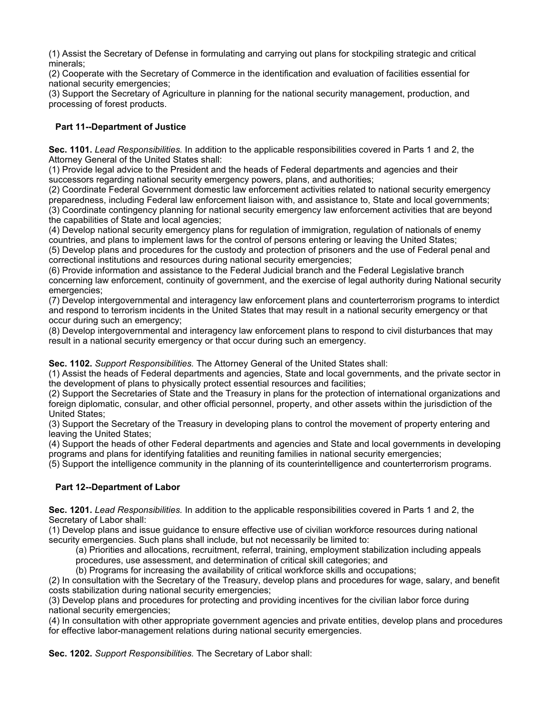(1) Assist the Secretary of Defense in formulating and carrying out plans for stockpiling strategic and critical minerals;

(2) Cooperate with the Secretary of Commerce in the identification and evaluation of facilities essential for national security emergencies;

(3) Support the Secretary of Agriculture in planning for the national security management, production, and processing of forest products.

# **Part 11--Department of Justice**

**Sec. 1101.** *Lead Responsibilities.* In addition to the applicable responsibilities covered in Parts 1 and 2, the Attorney General of the United States shall:

(1) Provide legal advice to the President and the heads of Federal departments and agencies and their successors regarding national security emergency powers, plans, and authorities;

(2) Coordinate Federal Government domestic law enforcement activities related to national security emergency preparedness, including Federal law enforcement liaison with, and assistance to, State and local governments; (3) Coordinate contingency planning for national security emergency law enforcement activities that are beyond the capabilities of State and local agencies;

(4) Develop national security emergency plans for regulation of immigration, regulation of nationals of enemy countries, and plans to implement laws for the control of persons entering or leaving the United States;

(5) Develop plans and procedures for the custody and protection of prisoners and the use of Federal penal and correctional institutions and resources during national security emergencies;

(6) Provide information and assistance to the Federal Judicial branch and the Federal Legislative branch concerning law enforcement, continuity of government, and the exercise of legal authority during National security emergencies;

(7) Develop intergovernmental and interagency law enforcement plans and counterterrorism programs to interdict and respond to terrorism incidents in the United States that may result in a national security emergency or that occur during such an emergency;

(8) Develop intergovernmental and interagency law enforcement plans to respond to civil disturbances that may result in a national security emergency or that occur during such an emergency.

**Sec. 1102.** *Support Responsibilities.* The Attorney General of the United States shall:

(1) Assist the heads of Federal departments and agencies, State and local governments, and the private sector in the development of plans to physically protect essential resources and facilities;

(2) Support the Secretaries of State and the Treasury in plans for the protection of international organizations and foreign diplomatic, consular, and other official personnel, property, and other assets within the jurisdiction of the United States;

(3) Support the Secretary of the Treasury in developing plans to control the movement of property entering and leaving the United States;

(4) Support the heads of other Federal departments and agencies and State and local governments in developing programs and plans for identifying fatalities and reuniting families in national security emergencies;

(5) Support the intelligence community in the planning of its counterintelligence and counterterrorism programs.

## **Part 12--Department of Labor**

**Sec. 1201.** *Lead Responsibilities.* In addition to the applicable responsibilities covered in Parts 1 and 2, the Secretary of Labor shall:

(1) Develop plans and issue guidance to ensure effective use of civilian workforce resources during national security emergencies. Such plans shall include, but not necessarily be limited to:

(a) Priorities and allocations, recruitment, referral, training, employment stabilization including appeals procedures, use assessment, and determination of critical skill categories; and

(b) Programs for increasing the availability of critical workforce skills and occupations;

(2) In consultation with the Secretary of the Treasury, develop plans and procedures for wage, salary, and benefit costs stabilization during national security emergencies;

(3) Develop plans and procedures for protecting and providing incentives for the civilian labor force during national security emergencies;

(4) In consultation with other appropriate government agencies and private entities, develop plans and procedures for effective labor-management relations during national security emergencies.

**Sec. 1202.** *Support Responsibilities.* The Secretary of Labor shall: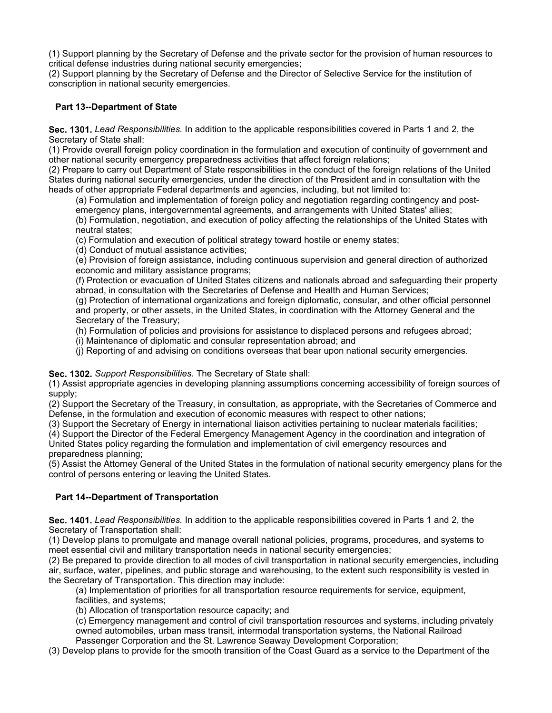(1) Support planning by the Secretary of Defense and the private sector for the provision of human resources to critical defense industries during national security emergencies;

(2) Support planning by the Secretary of Defense and the Director of Selective Service for the institution of conscription in national security emergencies.

### **Part 13--Department of State**

**Sec. 1301.** *Lead Responsibilities.* In addition to the applicable responsibilities covered in Parts 1 and 2, the Secretary of State shall:

(1) Provide overall foreign policy coordination in the formulation and execution of continuity of government and other national security emergency preparedness activities that affect foreign relations;

(2) Prepare to carry out Department of State responsibilities in the conduct of the foreign relations of the United States during national security emergencies, under the direction of the President and in consultation with the heads of other appropriate Federal departments and agencies, including, but not limited to:

(a) Formulation and implementation of foreign policy and negotiation regarding contingency and postemergency plans, intergovernmental agreements, and arrangements with United States' allies; (b) Formulation, negotiation, and execution of policy affecting the relationships of the United States with neutral states;

(c) Formulation and execution of political strategy toward hostile or enemy states;

(d) Conduct of mutual assistance activities;

(e) Provision of foreign assistance, including continuous supervision and general direction of authorized economic and military assistance programs;

(f) Protection or evacuation of United States citizens and nationals abroad and safeguarding their property abroad, in consultation with the Secretaries of Defense and Health and Human Services;

(g) Protection of international organizations and foreign diplomatic, consular, and other official personnel and property, or other assets, in the United States, in coordination with the Attorney General and the Secretary of the Treasury;

(h) Formulation of policies and provisions for assistance to displaced persons and refugees abroad;

(i) Maintenance of diplomatic and consular representation abroad; and

(j) Reporting of and advising on conditions overseas that bear upon national security emergencies.

### **Sec. 1302.** *Support Responsibilities.* The Secretary of State shall:

(1) Assist appropriate agencies in developing planning assumptions concerning accessibility of foreign sources of supply;

(2) Support the Secretary of the Treasury, in consultation, as appropriate, with the Secretaries of Commerce and Defense, in the formulation and execution of economic measures with respect to other nations;

(3) Support the Secretary of Energy in international liaison activities pertaining to nuclear materials facilities;

(4) Support the Director of the Federal Emergency Management Agency in the coordination and integration of

United States policy regarding the formulation and implementation of civil emergency resources and preparedness planning;

(5) Assist the Attorney General of the United States in the formulation of national security emergency plans for the control of persons entering or leaving the United States.

## **Part 14--Department of Transportation**

**Sec. 1401.** *Lead Responsibilities.* In addition to the applicable responsibilities covered in Parts 1 and 2, the Secretary of Transportation shall:

(1) Develop plans to promulgate and manage overall national policies, programs, procedures, and systems to meet essential civil and military transportation needs in national security emergencies;

(2) Be prepared to provide direction to all modes of civil transportation in national security emergencies, including air, surface, water, pipelines, and public storage and warehousing, to the extent such responsibility is vested in the Secretary of Transportation. This direction may include:

(a) Implementation of priorities for all transportation resource requirements for service, equipment, facilities, and systems;

(b) Allocation of transportation resource capacity; and

(c) Emergency management and control of civil transportation resources and systems, including privately owned automobiles, urban mass transit, intermodal transportation systems, the National Railroad Passenger Corporation and the St. Lawrence Seaway Development Corporation;

(3) Develop plans to provide for the smooth transition of the Coast Guard as a service to the Department of the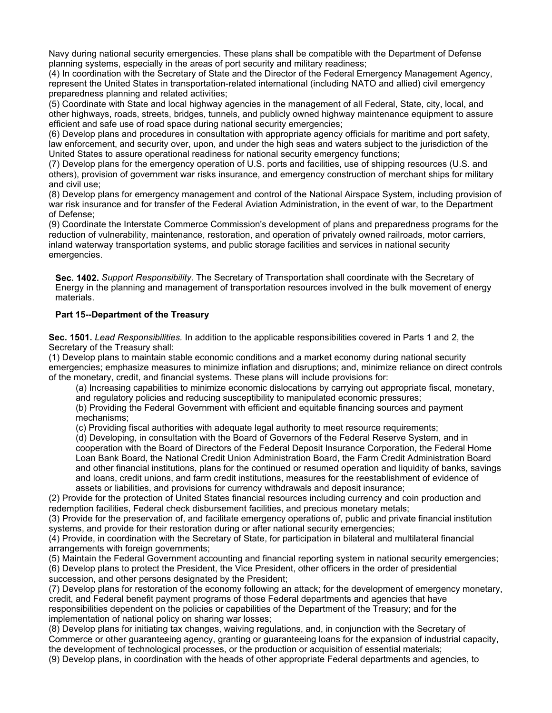Navy during national security emergencies. These plans shall be compatible with the Department of Defense planning systems, especially in the areas of port security and military readiness;

(4) In coordination with the Secretary of State and the Director of the Federal Emergency Management Agency, represent the United States in transportation-related international (including NATO and allied) civil emergency preparedness planning and related activities;

(5) Coordinate with State and local highway agencies in the management of all Federal, State, city, local, and other highways, roads, streets, bridges, tunnels, and publicly owned highway maintenance equipment to assure efficient and safe use of road space during national security emergencies;

(6) Develop plans and procedures in consultation with appropriate agency officials for maritime and port safety, law enforcement, and security over, upon, and under the high seas and waters subject to the jurisdiction of the United States to assure operational readiness for national security emergency functions;

(7) Develop plans for the emergency operation of U.S. ports and facilities, use of shipping resources (U.S. and others), provision of government war risks insurance, and emergency construction of merchant ships for military and civil use;

(8) Develop plans for emergency management and control of the National Airspace System, including provision of war risk insurance and for transfer of the Federal Aviation Administration, in the event of war, to the Department of Defense;

(9) Coordinate the Interstate Commerce Commission's development of plans and preparedness programs for the reduction of vulnerability, maintenance, restoration, and operation of privately owned railroads, motor carriers, inland waterway transportation systems, and public storage facilities and services in national security emergencies.

**Sec. 1402.** *Support Responsibility.* The Secretary of Transportation shall coordinate with the Secretary of Energy in the planning and management of transportation resources involved in the bulk movement of energy materials.

## **Part 15--Department of the Treasury**

**Sec. 1501.** *Lead Responsibilities.* In addition to the applicable responsibilities covered in Parts 1 and 2, the Secretary of the Treasury shall:

(1) Develop plans to maintain stable economic conditions and a market economy during national security emergencies; emphasize measures to minimize inflation and disruptions; and, minimize reliance on direct controls of the monetary, credit, and financial systems. These plans will include provisions for:

(a) Increasing capabilities to minimize economic dislocations by carrying out appropriate fiscal, monetary,

and regulatory policies and reducing susceptibility to manipulated economic pressures;

(b) Providing the Federal Government with efficient and equitable financing sources and payment mechanisms;

(c) Providing fiscal authorities with adequate legal authority to meet resource requirements;

(d) Developing, in consultation with the Board of Governors of the Federal Reserve System, and in cooperation with the Board of Directors of the Federal Deposit Insurance Corporation, the Federal Home Loan Bank Board, the National Credit Union Administration Board, the Farm Credit Administration Board and other financial institutions, plans for the continued or resumed operation and liquidity of banks, savings and loans, credit unions, and farm credit institutions, measures for the reestablishment of evidence of assets or liabilities, and provisions for currency withdrawals and deposit insurance;

(2) Provide for the protection of United States financial resources including currency and coin production and redemption facilities, Federal check disbursement facilities, and precious monetary metals;

(3) Provide for the preservation of, and facilitate emergency operations of, public and private financial institution systems, and provide for their restoration during or after national security emergencies;

(4) Provide, in coordination with the Secretary of State, for participation in bilateral and multilateral financial arrangements with foreign governments;

(5) Maintain the Federal Government accounting and financial reporting system in national security emergencies; (6) Develop plans to protect the President, the Vice President, other officers in the order of presidential succession, and other persons designated by the President;

(7) Develop plans for restoration of the economy following an attack; for the development of emergency monetary, credit, and Federal benefit payment programs of those Federal departments and agencies that have responsibilities dependent on the policies or capabilities of the Department of the Treasury; and for the implementation of national policy on sharing war losses;

(8) Develop plans for initiating tax changes, waiving regulations, and, in conjunction with the Secretary of Commerce or other guaranteeing agency, granting or guaranteeing loans for the expansion of industrial capacity, the development of technological processes, or the production or acquisition of essential materials;

(9) Develop plans, in coordination with the heads of other appropriate Federal departments and agencies, to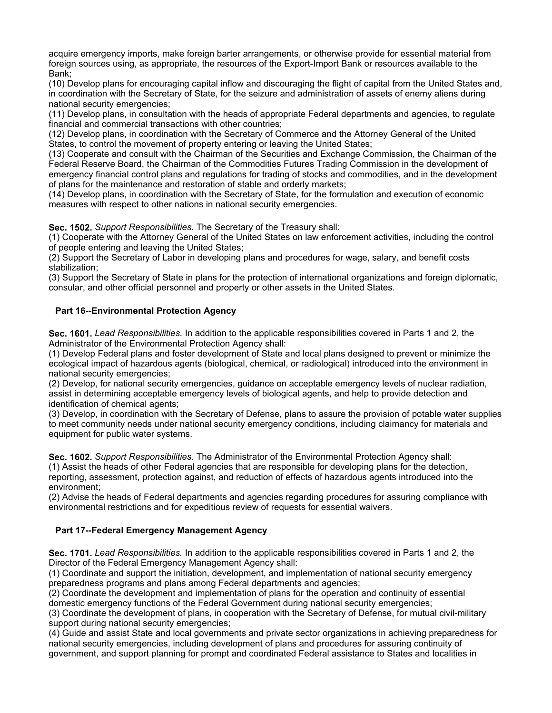acquire emergency imports, make foreign barter arrangements, or otherwise provide for essential material from foreign sources using, as appropriate, the resources of the Export-Import Bank or resources available to the Bank;

(10) Develop plans for encouraging capital inflow and discouraging the flight of capital from the United States and, in coordination with the Secretary of State, for the seizure and administration of assets of enemy aliens during national security emergencies;

(11) Develop plans, in consultation with the heads of appropriate Federal departments and agencies, to regulate financial and commercial transactions with other countries;

(12) Develop plans, in coordination with the Secretary of Commerce and the Attorney General of the United States, to control the movement of property entering or leaving the United States;

(13) Cooperate and consult with the Chairman of the Securities and Exchange Commission, the Chairman of the Federal Reserve Board, the Chairman of the Commodities Futures Trading Commission in the development of emergency financial control plans and regulations for trading of stocks and commodities, and in the development of plans for the maintenance and restoration of stable and orderly markets;

(14) Develop plans, in coordination with the Secretary of State, for the formulation and execution of economic measures with respect to other nations in national security emergencies.

**Sec. 1502.** *Support Responsibilities.* The Secretary of the Treasury shall:

(1) Cooperate with the Attorney General of the United States on law enforcement activities, including the control of people entering and leaving the United States;

(2) Support the Secretary of Labor in developing plans and procedures for wage, salary, and benefit costs stabilization;

(3) Support the Secretary of State in plans for the protection of international organizations and foreign diplomatic, consular, and other official personnel and property or other assets in the United States.

### **Part 16--Environmental Protection Agency**

**Sec. 1601.** *Lead Responsibilities.* In addition to the applicable responsibilities covered in Parts 1 and 2, the Administrator of the Environmental Protection Agency shall:

(1) Develop Federal plans and foster development of State and local plans designed to prevent or minimize the ecological impact of hazardous agents (biological, chemical, or radiological) introduced into the environment in national security emergencies;

(2) Develop, for national security emergencies, guidance on acceptable emergency levels of nuclear radiation, assist in determining acceptable emergency levels of biological agents, and help to provide detection and identification of chemical agents;

(3) Develop, in coordination with the Secretary of Defense, plans to assure the provision of potable water supplies to meet community needs under national security emergency conditions, including claimancy for materials and equipment for public water systems.

**Sec. 1602.** *Support Responsibilities.* The Administrator of the Environmental Protection Agency shall:

(1) Assist the heads of other Federal agencies that are responsible for developing plans for the detection, reporting, assessment, protection against, and reduction of effects of hazardous agents introduced into the environment;

(2) Advise the heads of Federal departments and agencies regarding procedures for assuring compliance with environmental restrictions and for expeditious review of requests for essential waivers.

## **Part 17--Federal Emergency Management Agency**

**Sec. 1701.** *Lead Responsibilities.* In addition to the applicable responsibilities covered in Parts 1 and 2, the Director of the Federal Emergency Management Agency shall:

(1) Coordinate and support the initiation, development, and implementation of national security emergency preparedness programs and plans among Federal departments and agencies;

(2) Coordinate the development and implementation of plans for the operation and continuity of essential domestic emergency functions of the Federal Government during national security emergencies;

(3) Coordinate the development of plans, in cooperation with the Secretary of Defense, for mutual civil-military support during national security emergencies;

(4) Guide and assist State and local governments and private sector organizations in achieving preparedness for national security emergencies, including development of plans and procedures for assuring continuity of government, and support planning for prompt and coordinated Federal assistance to States and localities in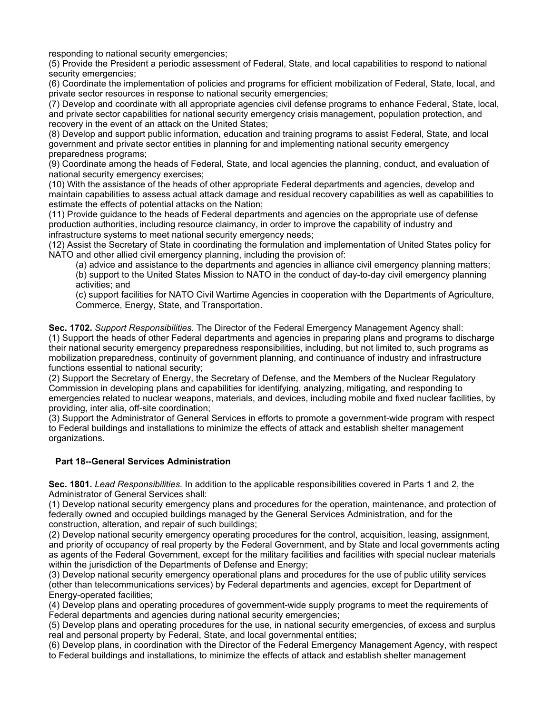responding to national security emergencies;

(5) Provide the President a periodic assessment of Federal, State, and local capabilities to respond to national security emergencies;

(6) Coordinate the implementation of policies and programs for efficient mobilization of Federal, State, local, and private sector resources in response to national security emergencies;

(7) Develop and coordinate with all appropriate agencies civil defense programs to enhance Federal, State, local, and private sector capabilities for national security emergency crisis management, population protection, and recovery in the event of an attack on the United States;

(8) Develop and support public information, education and training programs to assist Federal, State, and local government and private sector entities in planning for and implementing national security emergency preparedness programs;

(9) Coordinate among the heads of Federal, State, and local agencies the planning, conduct, and evaluation of national security emergency exercises;

(10) With the assistance of the heads of other appropriate Federal departments and agencies, develop and maintain capabilities to assess actual attack damage and residual recovery capabilities as well as capabilities to estimate the effects of potential attacks on the Nation;

(11) Provide guidance to the heads of Federal departments and agencies on the appropriate use of defense production authorities, including resource claimancy, in order to improve the capability of industry and infrastructure systems to meet national security emergency needs;

(12) Assist the Secretary of State in coordinating the formulation and implementation of United States policy for NATO and other allied civil emergency planning, including the provision of:

(a) advice and assistance to the departments and agencies in alliance civil emergency planning matters; (b) support to the United States Mission to NATO in the conduct of day-to-day civil emergency planning activities; and

(c) support facilities for NATO Civil Wartime Agencies in cooperation with the Departments of Agriculture, Commerce, Energy, State, and Transportation.

**Sec. 1702.** *Support Responsibilities.* The Director of the Federal Emergency Management Agency shall: (1) Support the heads of other Federal departments and agencies in preparing plans and programs to discharge their national security emergency preparedness responsibilities, including, but not limited to, such programs as mobilization preparedness, continuity of government planning, and continuance of industry and infrastructure functions essential to national security;

(2) Support the Secretary of Energy, the Secretary of Defense, and the Members of the Nuclear Regulatory Commission in developing plans and capabilities for identifying, analyzing, mitigating, and responding to emergencies related to nuclear weapons, materials, and devices, including mobile and fixed nuclear facilities, by providing, inter alia, off-site coordination;

(3) Support the Administrator of General Services in efforts to promote a government-wide program with respect to Federal buildings and installations to minimize the effects of attack and establish shelter management organizations.

#### **Part 18--General Services Administration**

**Sec. 1801.** *Lead Responsibilities.* In addition to the applicable responsibilities covered in Parts 1 and 2, the Administrator of General Services shall:

(1) Develop national security emergency plans and procedures for the operation, maintenance, and protection of federally owned and occupied buildings managed by the General Services Administration, and for the construction, alteration, and repair of such buildings;

(2) Develop national security emergency operating procedures for the control, acquisition, leasing, assignment, and priority of occupancy of real property by the Federal Government, and by State and local governments acting as agents of the Federal Government, except for the military facilities and facilities with special nuclear materials within the jurisdiction of the Departments of Defense and Energy;

(3) Develop national security emergency operational plans and procedures for the use of public utility services (other than telecommunications services) by Federal departments and agencies, except for Department of Energy-operated facilities;

(4) Develop plans and operating procedures of government-wide supply programs to meet the requirements of Federal departments and agencies during national security emergencies;

(5) Develop plans and operating procedures for the use, in national security emergencies, of excess and surplus real and personal property by Federal, State, and local governmental entities;

(6) Develop plans, in coordination with the Director of the Federal Emergency Management Agency, with respect to Federal buildings and installations, to minimize the effects of attack and establish shelter management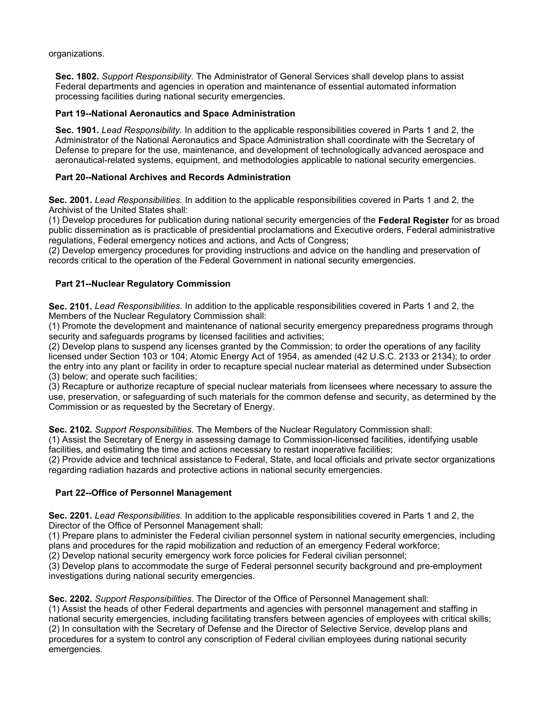organizations.

**Sec. 1802.** *Support Responsibility.* The Administrator of General Services shall develop plans to assist Federal departments and agencies in operation and maintenance of essential automated information processing facilities during national security emergencies.

### **Part 19--National Aeronautics and Space Administration**

**Sec. 1901.** *Lead Responsibility.* In addition to the applicable responsibilities covered in Parts 1 and 2, the Administrator of the National Aeronautics and Space Administration shall coordinate with the Secretary of Defense to prepare for the use, maintenance, and development of technologically advanced aerospace and aeronautical-related systems, equipment, and methodologies applicable to national security emergencies.

### **Part 20--National Archives and Records Administration**

**Sec. 2001.** *Lead Responsibilities.* In addition to the applicable responsibilities covered in Parts 1 and 2, the Archivist of the United States shall:

(1) Develop procedures for publication during national security emergencies of the **Federal Register** for as broad public dissemination as is practicable of presidential proclamations and Executive orders, Federal administrative regulations, Federal emergency notices and actions, and Acts of Congress;

(2) Develop emergency procedures for providing instructions and advice on the handling and preservation of records critical to the operation of the Federal Government in national security emergencies.

### **Part 21--Nuclear Regulatory Commission**

**Sec. 2101.** *Lead Responsibilities.* In addition to the applicable responsibilities covered in Parts 1 and 2, the Members of the Nuclear Regulatory Commission shall:

(1) Promote the development and maintenance of national security emergency preparedness programs through security and safeguards programs by licensed facilities and activities;

(2) Develop plans to suspend any licenses granted by the Commission; to order the operations of any facility licensed under Section 103 or 104; Atomic Energy Act of 1954, as amended (42 U.S.C. 2133 or 2134); to order the entry into any plant or facility in order to recapture special nuclear material as determined under Subsection (3) below; and operate such facilities;

(3) Recapture or authorize recapture of special nuclear materials from licensees where necessary to assure the use, preservation, or safeguarding of such materials for the common defense and security, as determined by the Commission or as requested by the Secretary of Energy.

**Sec. 2102.** *Support Responsibilities.* The Members of the Nuclear Regulatory Commission shall:

(1) Assist the Secretary of Energy in assessing damage to Commission-licensed facilities, identifying usable facilities, and estimating the time and actions necessary to restart inoperative facilities;

(2) Provide advice and technical assistance to Federal, State, and local officials and private sector organizations regarding radiation hazards and protective actions in national security emergencies.

## **Part 22--Office of Personnel Management**

**Sec. 2201.** *Lead Responsibilities.* In addition to the applicable responsibilities covered in Parts 1 and 2, the Director of the Office of Personnel Management shall:

(1) Prepare plans to administer the Federal civilian personnel system in national security emergencies, including plans and procedures for the rapid mobilization and reduction of an emergency Federal workforce;

(2) Develop national security emergency work force policies for Federal civilian personnel;

(3) Develop plans to accommodate the surge of Federal personnel security background and pre-employment investigations during national security emergencies.

**Sec. 2202.** *Support Responsibilities.* The Director of the Office of Personnel Management shall: (1) Assist the heads of other Federal departments and agencies with personnel management and staffing in national security emergencies, including facilitating transfers between agencies of employees with critical skills; (2) In consultation with the Secretary of Defense and the Director of Selective Service, develop plans and procedures for a system to control any conscription of Federal civilian employees during national security emergencies.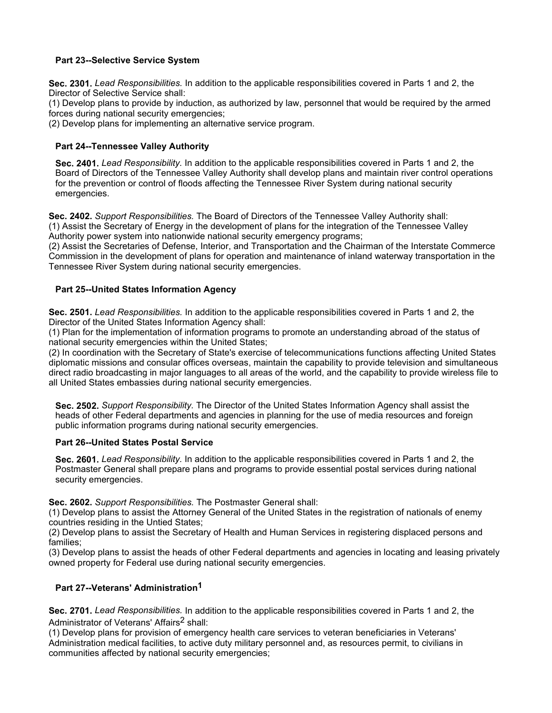### **Part 23--Selective Service System**

**Sec. 2301.** *Lead Responsibilities.* In addition to the applicable responsibilities covered in Parts 1 and 2, the Director of Selective Service shall:

(1) Develop plans to provide by induction, as authorized by law, personnel that would be required by the armed forces during national security emergencies;

(2) Develop plans for implementing an alternative service program.

## **Part 24--Tennessee Valley Authority**

**Sec. 2401.** *Lead Responsibility.* In addition to the applicable responsibilities covered in Parts 1 and 2, the Board of Directors of the Tennessee Valley Authority shall develop plans and maintain river control operations for the prevention or control of floods affecting the Tennessee River System during national security emergencies.

**Sec. 2402.** *Support Responsibilities.* The Board of Directors of the Tennessee Valley Authority shall: (1) Assist the Secretary of Energy in the development of plans for the integration of the Tennessee Valley Authority power system into nationwide national security emergency programs;

(2) Assist the Secretaries of Defense, Interior, and Transportation and the Chairman of the Interstate Commerce Commission in the development of plans for operation and maintenance of inland waterway transportation in the Tennessee River System during national security emergencies.

## **Part 25--United States Information Agency**

**Sec. 2501.** *Lead Responsibilities.* In addition to the applicable responsibilities covered in Parts 1 and 2, the Director of the United States Information Agency shall:

(1) Plan for the implementation of information programs to promote an understanding abroad of the status of national security emergencies within the United States;

(2) In coordination with the Secretary of State's exercise of telecommunications functions affecting United States diplomatic missions and consular offices overseas, maintain the capability to provide television and simultaneous direct radio broadcasting in major languages to all areas of the world, and the capability to provide wireless file to all United States embassies during national security emergencies.

**Sec. 2502.** *Support Responsibility.* The Director of the United States Information Agency shall assist the heads of other Federal departments and agencies in planning for the use of media resources and foreign public information programs during national security emergencies.

#### **Part 26--United States Postal Service**

**Sec. 2601.** *Lead Responsibility.* In addition to the applicable responsibilities covered in Parts 1 and 2, the Postmaster General shall prepare plans and programs to provide essential postal services during national security emergencies.

**Sec. 2602.** *Support Responsibilities.* The Postmaster General shall:

(1) Develop plans to assist the Attorney General of the United States in the registration of nationals of enemy countries residing in the Untied States;

(2) Develop plans to assist the Secretary of Health and Human Services in registering displaced persons and families;

(3) Develop plans to assist the heads of other Federal departments and agencies in locating and leasing privately owned property for Federal use during national security emergencies.

## **Part 27--Veterans' Administration1**

**Sec. 2701.** *Lead Responsibilities.* In addition to the applicable responsibilities covered in Parts 1 and 2, the Administrator of Veterans' Affairs<sup>2</sup> shall:

(1) Develop plans for provision of emergency health care services to veteran beneficiaries in Veterans' Administration medical facilities, to active duty military personnel and, as resources permit, to civilians in communities affected by national security emergencies;